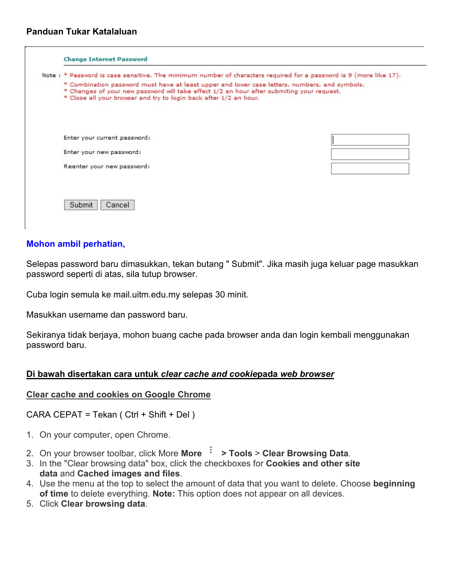## **Panduan Tukar Katalaluan**

| Note: * Password is case sensitive. The minimum number of characters required for a password is 9 (more like 17).                                                                                                                                               |  |
|-----------------------------------------------------------------------------------------------------------------------------------------------------------------------------------------------------------------------------------------------------------------|--|
| * Combination password must have at least upper and lower case letters, numbers, and symbols.<br>* Changes of your new password will take effect 1/2 an hour after submiting your request.<br>* Close all your browser and try to login back after 1/2 an hour. |  |
| Enter your current password:                                                                                                                                                                                                                                    |  |
| Enter your new password:                                                                                                                                                                                                                                        |  |
| Reenter your new password:                                                                                                                                                                                                                                      |  |
|                                                                                                                                                                                                                                                                 |  |
|                                                                                                                                                                                                                                                                 |  |
| Submit<br>Cancel                                                                                                                                                                                                                                                |  |

### **Mohon ambil perhatian,**

Selepas password baru dimasukkan, tekan butang " Submit". Jika masih juga keluar page masukkan password seperti di atas, sila tutup browser.

Cuba login semula ke mail.uitm.edu.my selepas 30 minit.

Masukkan username dan password baru.

Sekiranya tidak berjaya, mohon buang cache pada browser anda dan login kembali menggunakan password baru.

#### **Di bawah disertakan cara untuk** *clear cache and cookie***pada** *web browser*

#### **Clear cache and cookies on Google Chrome**

CARA CEPAT = Tekan ( Ctrl + Shift + Del )

- 1. On your computer, open Chrome.
- 2. On your browser toolbar, click More **More > Tools** > **Clear Browsing Data**.
- 3. In the "Clear browsing data" box, click the checkboxes for **Cookies and other site data** and **Cached images and files**.
- 4. Use the menu at the top to select the amount of data that you want to delete. Choose **beginning of time** to delete everything. **Note:** This option does not appear on all devices.
- 5. Click **Clear browsing data**.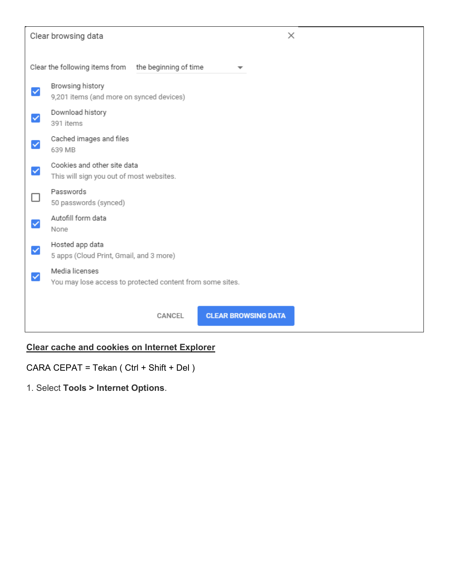# Clear browsing data

| Clear the following items from the beginning of time                        |
|-----------------------------------------------------------------------------|
| Browsing history<br>9,201 items (and more on synced devices)                |
| Download history<br>391 items                                               |
| Cached images and files<br>639 MB                                           |
| Cookies and other site data<br>This will sign you out of most websites.     |
| Passwords<br>50 passwords (synced)                                          |
| Autofill form data<br>None                                                  |
| Hosted app data<br>5 apps (Cloud Print, Gmail, and 3 more)                  |
| Media licenses<br>You may lose access to protected content from some sites. |
|                                                                             |
| <b>CLEAR BROWSING DATA</b><br>CANCEL                                        |

## **Clear cache and cookies on Internet Explorer**

CARA CEPAT = Tekan ( Ctrl + Shift + Del )

1. Select **Tools > Internet Options**.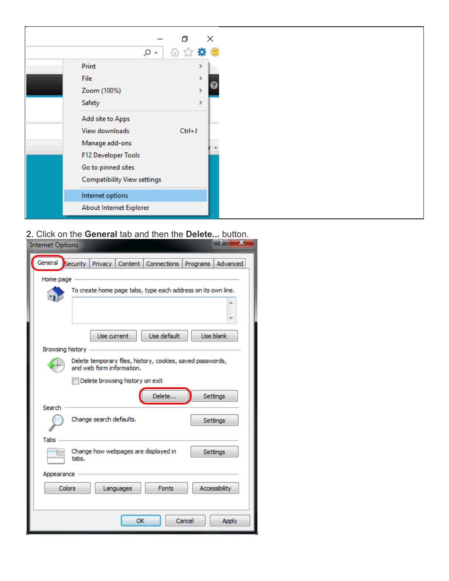

2. Click on the **General** tab and then the **Delete...** button.

| x<br><b>Internet Options</b>                                                            |
|-----------------------------------------------------------------------------------------|
| General Security<br>Privacy<br>Content  <br><b>Connections</b><br>Advanced<br>Programs  |
| Home page                                                                               |
| To create home page tabs, type each address on its own line.                            |
|                                                                                         |
| Use default<br>Use blank<br>Use current                                                 |
| Browsing history                                                                        |
| Delete temporary files, history, cookies, saved passwords,<br>and web form information. |
| Delete browsing history on exit                                                         |
| Delete<br>Settings<br>Search                                                            |
| Change search defaults.<br>Settings                                                     |
| Tabs                                                                                    |
| Change how webpages are displayed in<br>Settings<br>tabs.                               |
| Appearance                                                                              |
| <b>Colors</b><br><b>Accessibility</b><br><b>Fonts</b><br>Languages                      |
|                                                                                         |
| OK<br>Cancel<br>Apply                                                                   |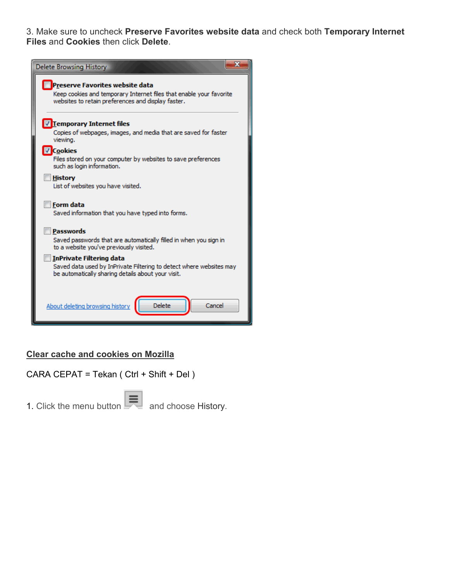3. Make sure to uncheck **Preserve Favorites website data** and check both **Temporary Internet Files** and **Cookies** then click **Delete**.



## **Clear cache and cookies on Mozilla**

CARA CEPAT = Tekan ( Ctrl + Shift + Del )

1. Click the menu button  $\mathbb{R}$  and choose History.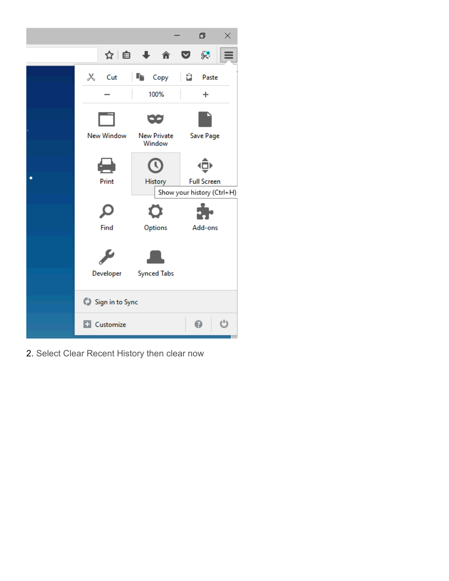

2. Select Clear Recent History then clear now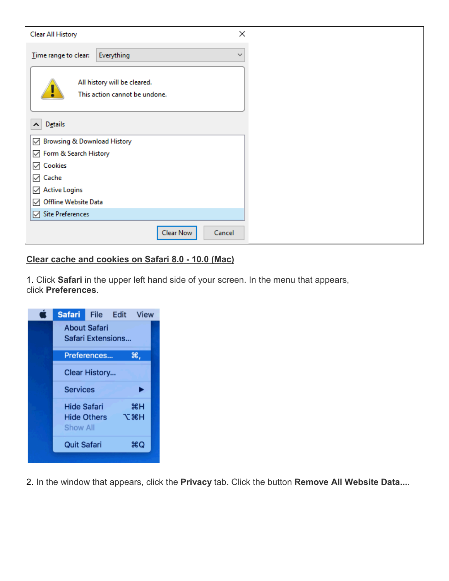| Clear All History                                             | $\times$     |
|---------------------------------------------------------------|--------------|
| Everything<br>Time range to clear:                            | $\checkmark$ |
| All history will be cleared.<br>This action cannot be undone. |              |
| <b>Details</b><br>$\hat{\phantom{a}}$                         |              |
| Browsing & Download History<br>$\checkmark$                   |              |
| ○ Form & Search History                                       |              |
| $\sqrt{ }$ Cookies                                            |              |
| $\vee$ Cache                                                  |              |
| $\boxdot$ Active Logins                                       |              |
| Offline Website Data<br>$\checkmark$                          |              |
| <b>Site Preferences</b><br>☑                                  |              |
| Clear Now<br>Cancel                                           |              |

# **Clear cache and cookies on Safari 8.0 - 10.0 (Mac)**

1. Click **Safari** in the upper left hand side of your screen. In the menu that appears, click **Preferences**.

| <b>Safari</b>                            | <b>File</b>        |  | Edit View    |  |  |  |  |
|------------------------------------------|--------------------|--|--------------|--|--|--|--|
| <b>About Safari</b><br>Safari Extensions |                    |  |              |  |  |  |  |
|                                          | Preferences        |  | Ж,           |  |  |  |  |
|                                          | Clear History      |  |              |  |  |  |  |
| <b>Services</b>                          |                    |  |              |  |  |  |  |
| Hide Safari                              |                    |  | жH           |  |  |  |  |
| Show All                                 | <b>Hide Others</b> |  | <b>N % T</b> |  |  |  |  |
| <b>Quit Safari</b>                       |                    |  | жQ           |  |  |  |  |
|                                          |                    |  |              |  |  |  |  |

2. In the window that appears, click the **Privacy** tab. Click the button **Remove All Website Data...**.